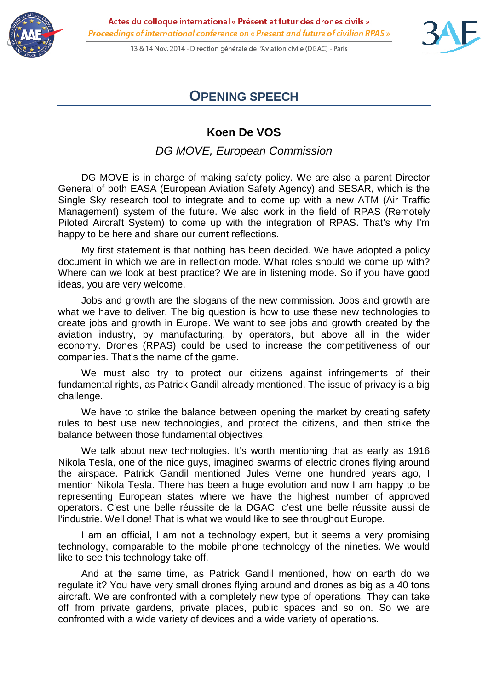

13 & 14 Nov. 2014 - Direction générale de l'Aviation civile (DGAC) - Paris



## **OPENING SPEECH**

## **Koen De VOS**

*DG MOVE, European Commission*

DG MOVE is in charge of making safety policy. We are also a parent Director General of both EASA (European Aviation Safety Agency) and SESAR, which is the Single Sky research tool to integrate and to come up with a new ATM (Air Traffic Management) system of the future. We also work in the field of RPAS (Remotely Piloted Aircraft System) to come up with the integration of RPAS. That's why I'm happy to be here and share our current reflections.

My first statement is that nothing has been decided. We have adopted a policy document in which we are in reflection mode. What roles should we come up with? Where can we look at best practice? We are in listening mode. So if you have good ideas, you are very welcome.

Jobs and growth are the slogans of the new commission. Jobs and growth are what we have to deliver. The big question is how to use these new technologies to create jobs and growth in Europe. We want to see jobs and growth created by the aviation industry, by manufacturing, by operators, but above all in the wider economy. Drones (RPAS) could be used to increase the competitiveness of our companies. That's the name of the game.

We must also try to protect our citizens against infringements of their fundamental rights, as Patrick Gandil already mentioned. The issue of privacy is a big challenge.

We have to strike the balance between opening the market by creating safety rules to best use new technologies, and protect the citizens, and then strike the balance between those fundamental objectives.

We talk about new technologies. It's worth mentioning that as early as 1916 Nikola Tesla, one of the nice guys, imagined swarms of electric drones flying around the airspace. Patrick Gandil mentioned Jules Verne one hundred years ago, I mention Nikola Tesla. There has been a huge evolution and now I am happy to be representing European states where we have the highest number of approved operators. C'est une belle réussite de la DGAC, c'est une belle réussite aussi de l'industrie. Well done! That is what we would like to see throughout Europe.

I am an official, I am not a technology expert, but it seems a very promising technology, comparable to the mobile phone technology of the nineties. We would like to see this technology take off.

And at the same time, as Patrick Gandil mentioned, how on earth do we regulate it? You have very small drones flying around and drones as big as a 40 tons aircraft. We are confronted with a completely new type of operations. They can take off from private gardens, private places, public spaces and so on. So we are confronted with a wide variety of devices and a wide variety of operations.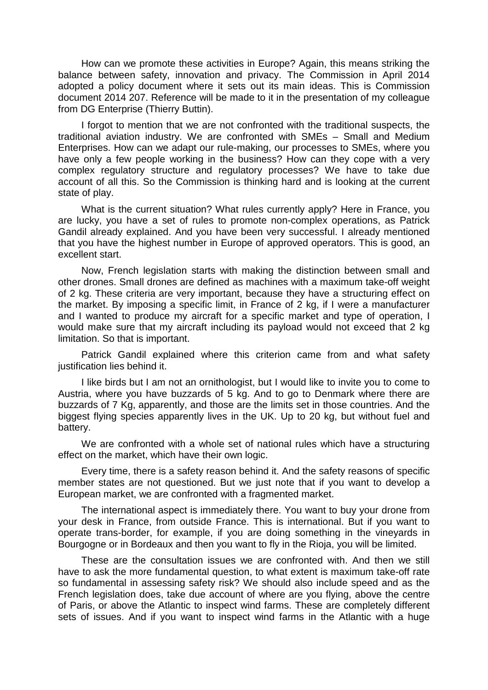How can we promote these activities in Europe? Again, this means striking the balance between safety, innovation and privacy. The Commission in April 2014 adopted a policy document where it sets out its main ideas. This is Commission document 2014 207. Reference will be made to it in the presentation of my colleague from DG Enterprise (Thierry Buttin).

I forgot to mention that we are not confronted with the traditional suspects, the traditional aviation industry. We are confronted with SMEs – Small and Medium Enterprises. How can we adapt our rule-making, our processes to SMEs, where you have only a few people working in the business? How can they cope with a very complex regulatory structure and regulatory processes? We have to take due account of all this. So the Commission is thinking hard and is looking at the current state of play.

What is the current situation? What rules currently apply? Here in France, you are lucky, you have a set of rules to promote non-complex operations, as Patrick Gandil already explained. And you have been very successful. I already mentioned that you have the highest number in Europe of approved operators. This is good, an excellent start.

Now, French legislation starts with making the distinction between small and other drones. Small drones are defined as machines with a maximum take-off weight of 2 kg. These criteria are very important, because they have a structuring effect on the market. By imposing a specific limit, in France of 2 kg, if I were a manufacturer and I wanted to produce my aircraft for a specific market and type of operation, I would make sure that my aircraft including its payload would not exceed that 2 kg limitation. So that is important.

Patrick Gandil explained where this criterion came from and what safety justification lies behind it.

I like birds but I am not an ornithologist, but I would like to invite you to come to Austria, where you have buzzards of 5 kg. And to go to Denmark where there are buzzards of 7 Kg, apparently, and those are the limits set in those countries. And the biggest flying species apparently lives in the UK. Up to 20 kg, but without fuel and battery.

We are confronted with a whole set of national rules which have a structuring effect on the market, which have their own logic.

Every time, there is a safety reason behind it. And the safety reasons of specific member states are not questioned. But we just note that if you want to develop a European market, we are confronted with a fragmented market.

The international aspect is immediately there. You want to buy your drone from your desk in France, from outside France. This is international. But if you want to operate trans-border, for example, if you are doing something in the vineyards in Bourgogne or in Bordeaux and then you want to fly in the Rioja, you will be limited.

These are the consultation issues we are confronted with. And then we still have to ask the more fundamental question, to what extent is maximum take-off rate so fundamental in assessing safety risk? We should also include speed and as the French legislation does, take due account of where are you flying, above the centre of Paris, or above the Atlantic to inspect wind farms. These are completely different sets of issues. And if you want to inspect wind farms in the Atlantic with a huge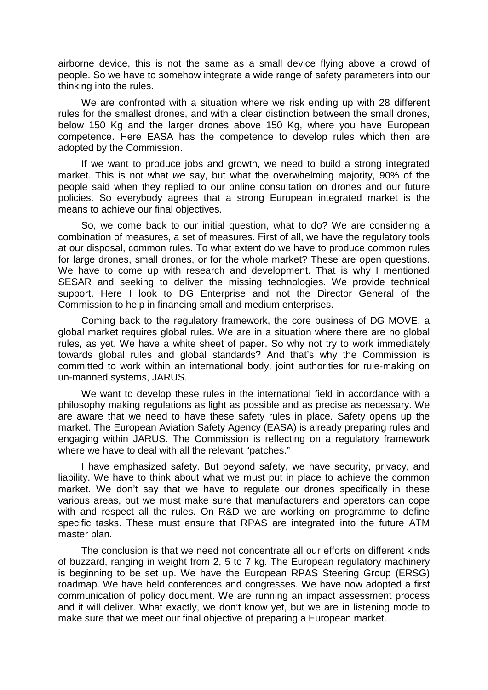airborne device, this is not the same as a small device flying above a crowd of people. So we have to somehow integrate a wide range of safety parameters into our thinking into the rules.

We are confronted with a situation where we risk ending up with 28 different rules for the smallest drones, and with a clear distinction between the small drones, below 150 Kg and the larger drones above 150 Kg, where you have European competence. Here EASA has the competence to develop rules which then are adopted by the Commission.

If we want to produce jobs and growth, we need to build a strong integrated market. This is not what *we* say, but what the overwhelming majority, 90% of the people said when they replied to our online consultation on drones and our future policies. So everybody agrees that a strong European integrated market is the means to achieve our final objectives.

So, we come back to our initial question, what to do? We are considering a combination of measures, a set of measures. First of all, we have the regulatory tools at our disposal, common rules. To what extent do we have to produce common rules for large drones, small drones, or for the whole market? These are open questions. We have to come up with research and development. That is why I mentioned SESAR and seeking to deliver the missing technologies. We provide technical support. Here I look to DG Enterprise and not the Director General of the Commission to help in financing small and medium enterprises.

Coming back to the regulatory framework, the core business of DG MOVE, a global market requires global rules. We are in a situation where there are no global rules, as yet. We have a white sheet of paper. So why not try to work immediately towards global rules and global standards? And that's why the Commission is committed to work within an international body, joint authorities for rule-making on un-manned systems, JARUS.

We want to develop these rules in the international field in accordance with a philosophy making regulations as light as possible and as precise as necessary. We are aware that we need to have these safety rules in place. Safety opens up the market. The European Aviation Safety Agency (EASA) is already preparing rules and engaging within JARUS. The Commission is reflecting on a regulatory framework where we have to deal with all the relevant "patches."

I have emphasized safety. But beyond safety, we have security, privacy, and liability. We have to think about what we must put in place to achieve the common market. We don't say that we have to regulate our drones specifically in these various areas, but we must make sure that manufacturers and operators can cope with and respect all the rules. On R&D we are working on programme to define specific tasks. These must ensure that RPAS are integrated into the future ATM master plan.

The conclusion is that we need not concentrate all our efforts on different kinds of buzzard, ranging in weight from 2, 5 to 7 kg. The European regulatory machinery is beginning to be set up. We have the European RPAS Steering Group (ERSG) roadmap. We have held conferences and congresses. We have now adopted a first communication of policy document. We are running an impact assessment process and it will deliver. What exactly, we don't know yet, but we are in listening mode to make sure that we meet our final objective of preparing a European market.